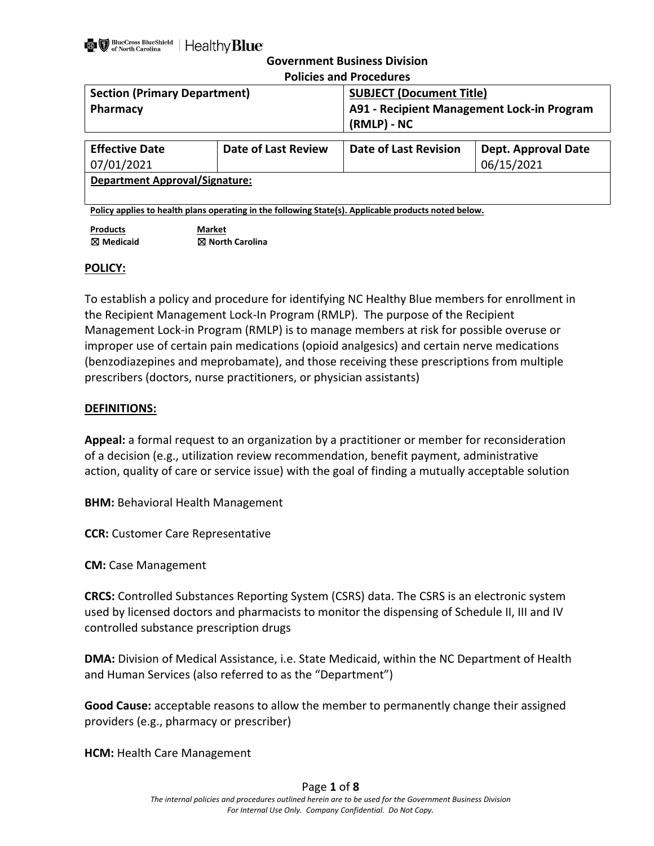| <b>Policies and Procedures</b>                           |                     |                                                                                                      |                                            |
|----------------------------------------------------------|---------------------|------------------------------------------------------------------------------------------------------|--------------------------------------------|
| <b>Section (Primary Department)</b>                      |                     | <b>SUBJECT (Document Title)</b>                                                                      |                                            |
| <b>Pharmacy</b>                                          |                     | (RMLP) - NC                                                                                          | A91 - Recipient Management Lock-in Program |
| <b>Effective Date</b><br>07/01/2021                      | Date of Last Review | Date of Last Revision                                                                                | <b>Dept. Approval Date</b><br>06/15/2021   |
| <b>Department Approval/Signature:</b>                    |                     |                                                                                                      |                                            |
|                                                          |                     | Policy applies to health plans operating in the following State(s). Applicable products noted below. |                                            |
| <b>Products</b><br><b>Market</b><br>$\boxtimes$ Medicaid | ⊠ North Carolina    |                                                                                                      |                                            |

## **POLICY:**

To establish a policy and procedure for identifying NC Healthy Blue members for enrollment in the Recipient Management Lock-In Program (RMLP). The purpose of the Recipient Management Lock-in Program (RMLP) is to manage members at risk for possible overuse or improper use of certain pain medications (opioid analgesics) and certain nerve medications (benzodiazepines and meprobamate), and those receiving these prescriptions from multiple prescribers (doctors, nurse practitioners, or physician assistants)

## **DEFINITIONS:**

**Appeal:** a formal request to an organization by a practitioner or member for reconsideration of a decision (e.g., utilization review recommendation, benefit payment, administrative action, quality of care or service issue) with the goal of finding a mutually acceptable solution

**BHM:** Behavioral Health Management

**CCR:** Customer Care Representative

**CM:** Case Management

**CRCS:** Controlled Substances Reporting System (CSRS) data. The CSRS is an electronic system used by licensed doctors and pharmacists to monitor the dispensing of Schedule II, III and IV controlled substance prescription drugs

**DMA:** Division of Medical Assistance, i.e. State Medicaid, within the NC Department of Health and Human Services (also referred to as the "Department")

**Good Cause:** acceptable reasons to allow the member to permanently change their assigned providers (e.g., pharmacy or prescriber)

**HCM:** Health Care Management

## Page **1** of **8**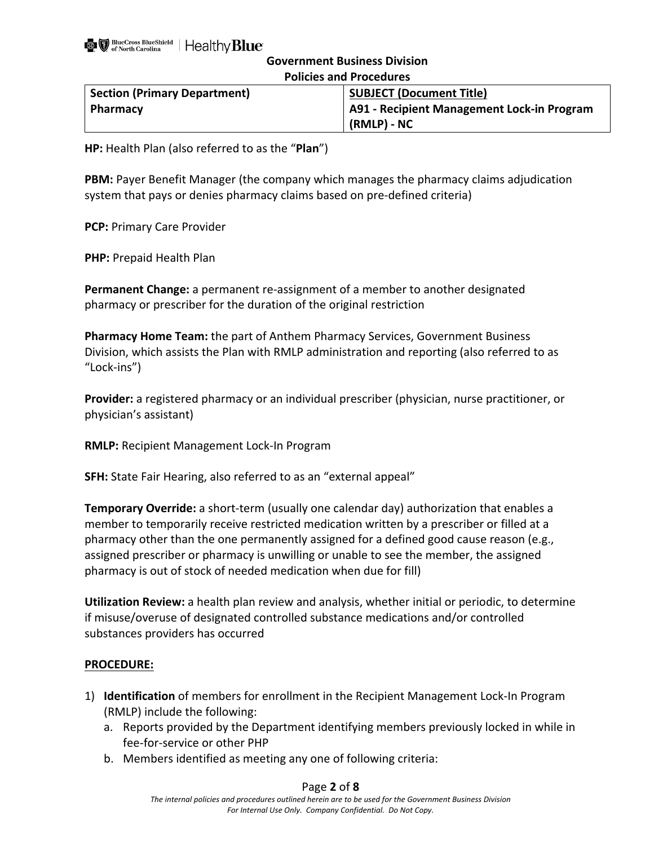| <b>Policies and Procedures</b>                                         |             |  |
|------------------------------------------------------------------------|-------------|--|
| <b>SUBJECT (Document Title)</b><br><b>Section (Primary Department)</b> |             |  |
| <b>A91 - Recipient Management Lock-in Program</b><br><b>Pharmacy</b>   |             |  |
|                                                                        | (RMLP) - NC |  |

**HP:** Health Plan (also referred to as the "**Plan**")

**PBM:** Payer Benefit Manager (the company which manages the pharmacy claims adjudication system that pays or denies pharmacy claims based on pre-defined criteria)

**PCP:** Primary Care Provider

**PHP:** Prepaid Health Plan

**Permanent Change:** a permanent re-assignment of a member to another designated pharmacy or prescriber for the duration of the original restriction

**Pharmacy Home Team:** the part of Anthem Pharmacy Services, Government Business Division, which assists the Plan with RMLP administration and reporting (also referred to as "Lock-ins")

**Provider:** a registered pharmacy or an individual prescriber (physician, nurse practitioner, or physician's assistant)

**RMLP:** Recipient Management Lock-In Program

**SFH:** State Fair Hearing, also referred to as an "external appeal"

**Temporary Override:** a short-term (usually one calendar day) authorization that enables a member to temporarily receive restricted medication written by a prescriber or filled at a pharmacy other than the one permanently assigned for a defined good cause reason (e.g., assigned prescriber or pharmacy is unwilling or unable to see the member, the assigned pharmacy is out of stock of needed medication when due for fill)

**Utilization Review:** a health plan review and analysis, whether initial or periodic, to determine if misuse/overuse of designated controlled substance medications and/or controlled substances providers has occurred

## **PROCEDURE:**

- 1) **Identification** of members for enrollment in the Recipient Management Lock-In Program (RMLP) include the following:
	- a. Reports provided by the Department identifying members previously locked in while in fee-for-service or other PHP
	- b. Members identified as meeting any one of following criteria:

## Page **2** of **8**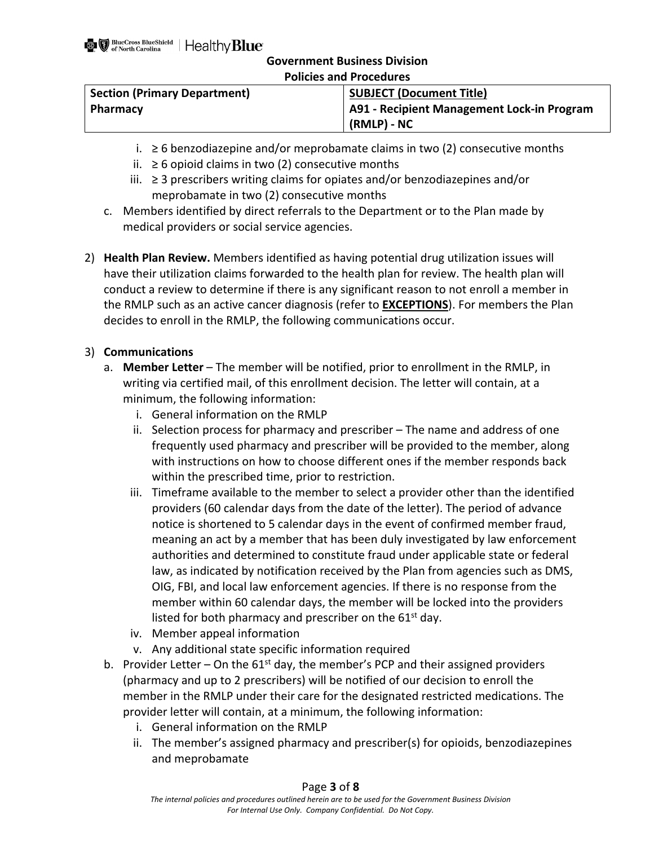| <b>Policies and Procedures</b>      |                                            |  |
|-------------------------------------|--------------------------------------------|--|
| <b>Section (Primary Department)</b> | <b>SUBJECT (Document Title)</b>            |  |
| <b>Pharmacy</b>                     | A91 - Recipient Management Lock-in Program |  |
|                                     | (RMLP) - NC                                |  |

- 
- i.  $≥$  6 benzodiazepine and/or meprobamate claims in two (2) consecutive months
- ii. ≥ 6 opioid claims in two (2) consecutive months
- iii. ≥ 3 prescribers writing claims for opiates and/or benzodiazepines and/or meprobamate in two (2) consecutive months
- c. Members identified by direct referrals to the Department or to the Plan made by medical providers or social service agencies.
- 2) **Health Plan Review.** Members identified as having potential drug utilization issues will have their utilization claims forwarded to the health plan for review. The health plan will conduct a review to determine if there is any significant reason to not enroll a member in the RMLP such as an active cancer diagnosis (refer to **EXCEPTIONS**). For members the Plan decides to enroll in the RMLP, the following communications occur.

## 3) **Communications**

- a. **Member Letter**  The member will be notified, prior to enrollment in the RMLP, in writing via certified mail, of this enrollment decision. The letter will contain, at a minimum, the following information:
	- i. General information on the RMLP
	- ii. Selection process for pharmacy and prescriber The name and address of one frequently used pharmacy and prescriber will be provided to the member, along with instructions on how to choose different ones if the member responds back within the prescribed time, prior to restriction.
	- iii. Timeframe available to the member to select a provider other than the identified providers (60 calendar days from the date of the letter). The period of advance notice is shortened to 5 calendar days in the event of confirmed member fraud, meaning an act by a member that has been duly investigated by law enforcement authorities and determined to constitute fraud under applicable state or federal law, as indicated by notification received by the Plan from agencies such as DMS, OIG, FBI, and local law enforcement agencies. If there is no response from the member within 60 calendar days, the member will be locked into the providers listed for both pharmacy and prescriber on the  $61<sup>st</sup>$  day.
	- iv. Member appeal information
	- v. Any additional state specific information required
- b. Provider Letter On the  $61^{st}$  day, the member's PCP and their assigned providers (pharmacy and up to 2 prescribers) will be notified of our decision to enroll the member in the RMLP under their care for the designated restricted medications. The provider letter will contain, at a minimum, the following information:
	- i. General information on the RMLP
	- ii. The member's assigned pharmacy and prescriber(s) for opioids, benzodiazepines and meprobamate

## Page **3** of **8**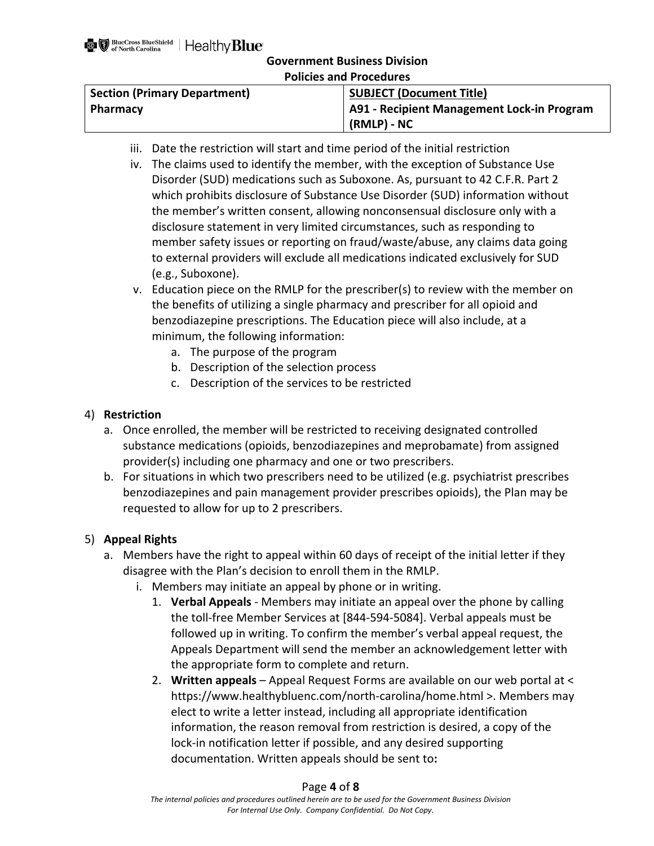|  |  | <b>Policies and Procedures</b> |
|--|--|--------------------------------|
|--|--|--------------------------------|

| <b>SUBJECT (Document Title)</b>                   |  |
|---------------------------------------------------|--|
| <b>A91 - Recipient Management Lock-in Program</b> |  |
| (RMLP) - NC                                       |  |
|                                                   |  |

- iii. Date the restriction will start and time period of the initial restriction
- iv. The claims used to identify the member, with the exception of Substance Use Disorder (SUD) medications such as Suboxone. As, pursuant to 42 C.F.R. Part 2 which prohibits disclosure of Substance Use Disorder (SUD) information without the member's written consent, allowing nonconsensual disclosure only with a disclosure statement in very limited circumstances, such as responding to member safety issues or reporting on fraud/waste/abuse, any claims data going to external providers will exclude all medications indicated exclusively for SUD (e.g., Suboxone).
- v. Education piece on the RMLP for the prescriber(s) to review with the member on the benefits of utilizing a single pharmacy and prescriber for all opioid and benzodiazepine prescriptions. The Education piece will also include, at a minimum, the following information:
	- a. The purpose of the program
	- b. Description of the selection process
	- c. Description of the services to be restricted

## 4) **Restriction**

- a. Once enrolled, the member will be restricted to receiving designated controlled substance medications (opioids, benzodiazepines and meprobamate) from assigned provider(s) including one pharmacy and one or two prescribers.
- b. For situations in which two prescribers need to be utilized (e.g. psychiatrist prescribes benzodiazepines and pain management provider prescribes opioids), the Plan may be requested to allow for up to 2 prescribers.

## 5) **Appeal Rights**

- a. Members have the right to appeal within 60 days of receipt of the initial letter if they disagree with the Plan's decision to enroll them in the RMLP.
	- i. Members may initiate an appeal by phone or in writing.
		- 1. **Verbal Appeals** Members may initiate an appeal over the phone by calling the toll-free Member Services at [844-594-5084]. Verbal appeals must be followed up in writing. To confirm the member's verbal appeal request, the Appeals Department will send the member an acknowledgement letter with the appropriate form to complete and return.
		- 2. **Written appeals** Appeal Request Forms are available on our web portal at < [https://www.healthybluenc.com/north-carolina/home.html >](https://www.healthybluenc.com/north-carolina/home.html). Members may elect to write a letter instead, including all appropriate identification information, the reason removal from restriction is desired, a copy of the lock-in notification letter if possible, and any desired supporting documentation. Written appeals should be sent to**:**

## Page **4** of **8**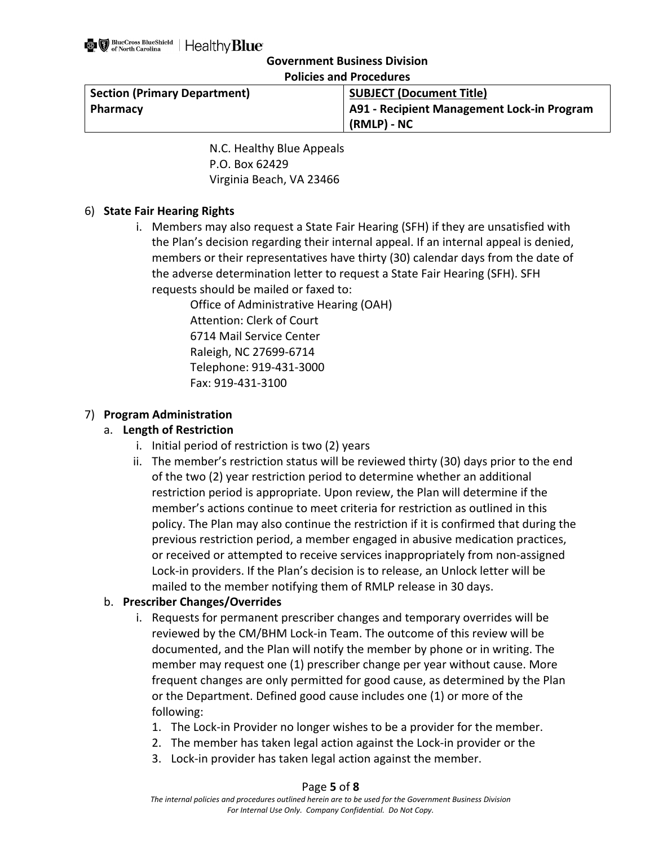| POIICIES and Procedures             |                                            |  |
|-------------------------------------|--------------------------------------------|--|
| <b>Section (Primary Department)</b> | <b>SUBJECT (Document Title)</b>            |  |
| Pharmacy                            | A91 - Recipient Management Lock-in Program |  |
|                                     | (RMLP) - NC                                |  |

**Policies and Procedures**

N.C. Healthy Blue Appeals P.O. Box 62429 Virginia Beach, VA 23466

## 6) **State Fair Hearing Rights**

i. Members may also request a State Fair Hearing (SFH) if they are unsatisfied with the Plan's decision regarding their internal appeal. If an internal appeal is denied, members or their representatives have thirty (30) calendar days from the date of the adverse determination letter to request a State Fair Hearing (SFH). SFH requests should be mailed or faxed to:

> Office of Administrative Hearing (OAH) Attention: Clerk of Court 6714 Mail Service Center Raleigh, NC 27699-6714 Telephone: 919-431-3000 Fax: 919-431-3100

## 7) **Program Administration**

## a. **Length of Restriction**

- i. Initial period of restriction is two (2) years
- ii. The member's restriction status will be reviewed thirty (30) days prior to the end of the two (2) year restriction period to determine whether an additional restriction period is appropriate. Upon review, the Plan will determine if the member's actions continue to meet criteria for restriction as outlined in this policy. The Plan may also continue the restriction if it is confirmed that during the previous restriction period, a member engaged in abusive medication practices, or received or attempted to receive services inappropriately from non-assigned Lock-in providers. If the Plan's decision is to release, an Unlock letter will be mailed to the member notifying them of RMLP release in 30 days.

## b. **Prescriber Changes/Overrides**

- i. Requests for permanent prescriber changes and temporary overrides will be reviewed by the CM/BHM Lock-in Team. The outcome of this review will be documented, and the Plan will notify the member by phone or in writing. The member may request one (1) prescriber change per year without cause. More frequent changes are only permitted for good cause, as determined by the Plan or the Department. Defined good cause includes one (1) or more of the following:
	- 1. The Lock-in Provider no longer wishes to be a provider for the member.
	- 2. The member has taken legal action against the Lock-in provider or the
	- 3. Lock-in provider has taken legal action against the member.

## Page **5** of **8**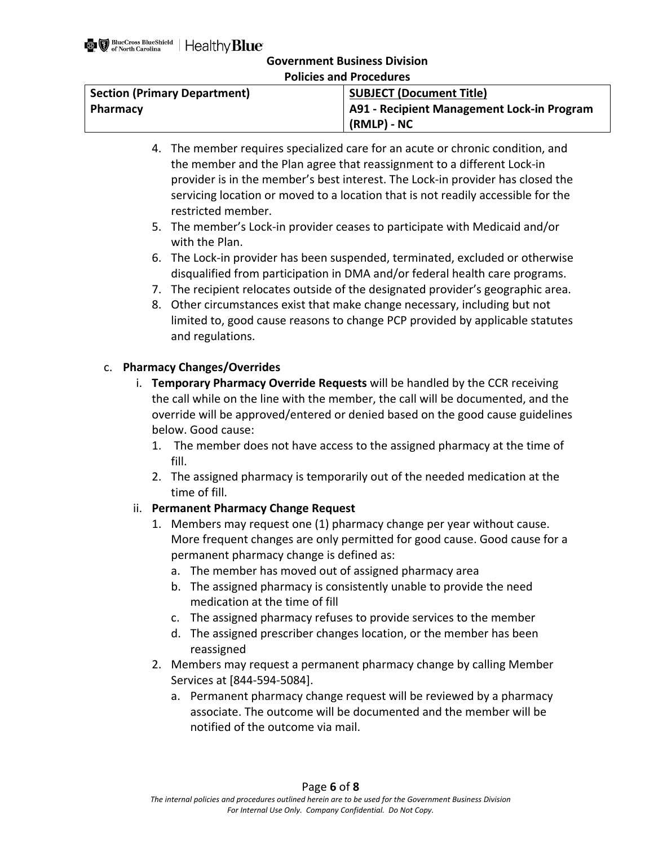**Policies and Procedures**

| <b>Section (Primary Department)</b> | <b>SUBJECT (Document Title)</b>            |
|-------------------------------------|--------------------------------------------|
| Pharmacy                            | A91 - Recipient Management Lock-in Program |
|                                     | (RMLP) - NC                                |

- 4. The member requires specialized care for an acute or chronic condition, and the member and the Plan agree that reassignment to a different Lock-in provider is in the member's best interest. The Lock-in provider has closed the servicing location or moved to a location that is not readily accessible for the restricted member.
- 5. The member's Lock-in provider ceases to participate with Medicaid and/or with the Plan.
- 6. The Lock-in provider has been suspended, terminated, excluded or otherwise disqualified from participation in DMA and/or federal health care programs.
- 7. The recipient relocates outside of the designated provider's geographic area.
- 8. Other circumstances exist that make change necessary, including but not limited to, good cause reasons to change PCP provided by applicable statutes and regulations.

## c. **Pharmacy Changes/Overrides**

- i. **Temporary Pharmacy Override Requests** will be handled by the CCR receiving the call while on the line with the member, the call will be documented, and the override will be approved/entered or denied based on the good cause guidelines below. Good cause:
	- 1. The member does not have access to the assigned pharmacy at the time of fill.
	- 2. The assigned pharmacy is temporarily out of the needed medication at the time of fill.
- ii. **Permanent Pharmacy Change Request**
	- 1. Members may request one (1) pharmacy change per year without cause. More frequent changes are only permitted for good cause. Good cause for a permanent pharmacy change is defined as:
		- a. The member has moved out of assigned pharmacy area
		- b. The assigned pharmacy is consistently unable to provide the need medication at the time of fill
		- c. The assigned pharmacy refuses to provide services to the member
		- d. The assigned prescriber changes location, or the member has been reassigned
	- 2. Members may request a permanent pharmacy change by calling Member Services at [844-594-5084].
		- a. Permanent pharmacy change request will be reviewed by a pharmacy associate. The outcome will be documented and the member will be notified of the outcome via mail.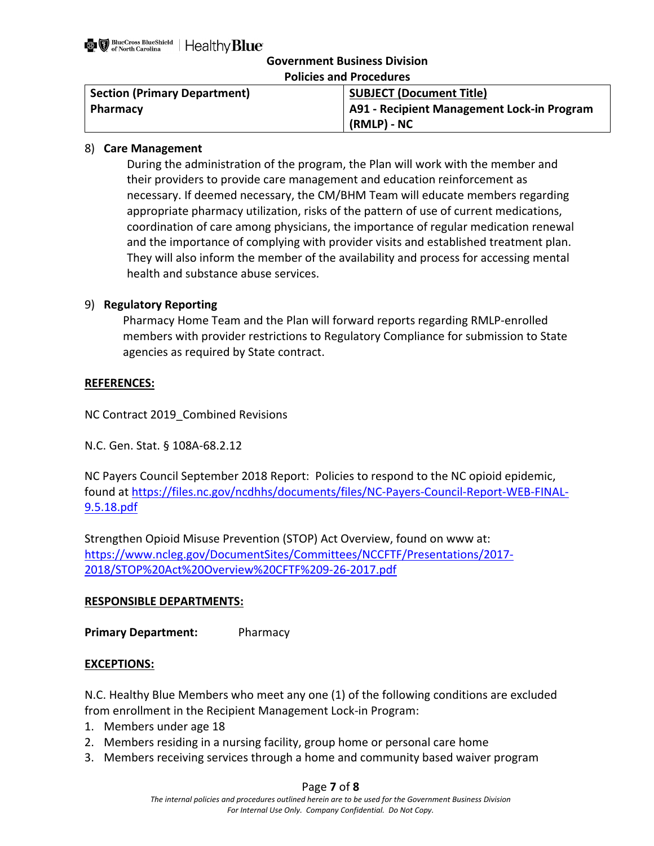| <b>Policies and Procedures</b>                                         |                                            |  |
|------------------------------------------------------------------------|--------------------------------------------|--|
| <b>SUBJECT (Document Title)</b><br><b>Section (Primary Department)</b> |                                            |  |
| <b>Pharmacy</b>                                                        | A91 - Recipient Management Lock-in Program |  |
|                                                                        | (RMLP) - NC                                |  |

## 8) **Care Management**

During the administration of the program, the Plan will work with the member and their providers to provide care management and education reinforcement as necessary. If deemed necessary, the CM/BHM Team will educate members regarding appropriate pharmacy utilization, risks of the pattern of use of current medications, coordination of care among physicians, the importance of regular medication renewal and the importance of complying with provider visits and established treatment plan. They will also inform the member of the availability and process for accessing mental health and substance abuse services.

## 9) **Regulatory Reporting**

Pharmacy Home Team and the Plan will forward reports regarding RMLP-enrolled members with provider restrictions to Regulatory Compliance for submission to State agencies as required by State contract.

## **REFERENCES:**

NC Contract 2019\_Combined Revisions

N.C. Gen. Stat. § 108A-68.2.12

NC Payers Council September 2018 Report: Policies to respond to the NC opioid epidemic, found at [https://files.nc.gov/ncdhhs/documents/files/NC-Payers-Council-Report-WEB-FINAL-](https://files.nc.gov/ncdhhs/documents/files/NC-Payers-Council-Report-WEB-FINAL-9.5.18.pdf)[9.5.18.pdf](https://files.nc.gov/ncdhhs/documents/files/NC-Payers-Council-Report-WEB-FINAL-9.5.18.pdf)

Strengthen Opioid Misuse Prevention (STOP) Act Overview, found on www at: [https://www.ncleg.gov/DocumentSites/Committees/NCCFTF/Presentations/2017-](https://www.ncleg.gov/DocumentSites/Committees/NCCFTF/Presentations/2017-2018/STOP%20Act%20Overview%20CFTF%209-26-2017.pdf) [2018/STOP%20Act%20Overview%20CFTF%209-26-2017.pdf](https://www.ncleg.gov/DocumentSites/Committees/NCCFTF/Presentations/2017-2018/STOP%20Act%20Overview%20CFTF%209-26-2017.pdf)

## **RESPONSIBLE DEPARTMENTS:**

**Primary Department:** Pharmacy

## **EXCEPTIONS:**

N.C. Healthy Blue Members who meet any one (1) of the following conditions are excluded from enrollment in the Recipient Management Lock-in Program:

- 1. Members under age 18
- 2. Members residing in a nursing facility, group home or personal care home
- 3. Members receiving services through a home and community based waiver program

## Page **7** of **8**